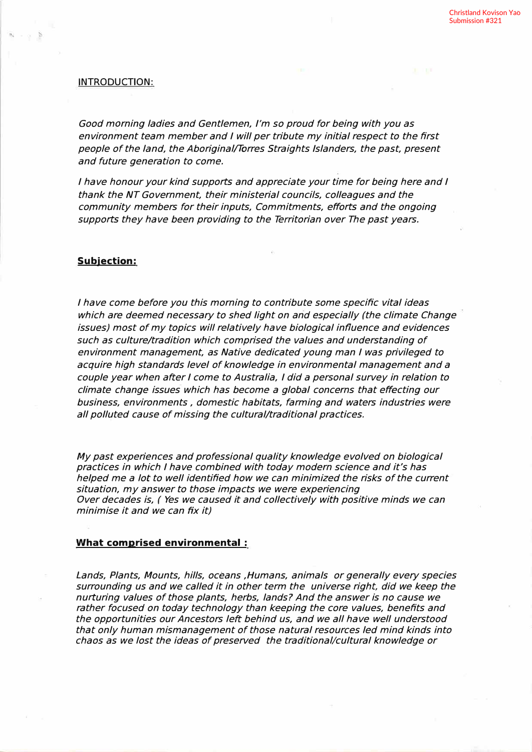## **INTRODUCTION:**

Good morning ladies and Gentlemen, I'm so proud for being with you as *environment team member and I will per tribute my initial respect to the first people of the land, the Aboriginal/Torres Straights Islanders, the past, present and future generation to come.* 

*I have honour your kind supports and appreciate your time for being here and I thank the NT Government, their ministerial councils, colleagues and the community members for their inputs, Commitments, efforts and the ongoing*  supports they have been providing to the Territorian over The past years.

# **Subjection:**

*I have come before you this morning to contribute some specific vital ideas which are deemed necessary to shed light on and especially (the climate Change issues) most of my topics will relatively have biological influence and evidences such as culture/tradition which comprised the values and understanding of environment management, as Native dedicated young man I was privileged to acquire high standards level of knowledge in environmental management and a couple year when after I come to Australia, I did a personal survey in relation to climate change issues which has become a global concerns that effecting our business, environments , domestic habitats, farming and waters industries were all polluted cause of missing the cultural/traditional practices.* 

*My past experiences and professional quality knowledge evolved on biological practices in which I have combined with today modern science and it's has helped me a lot to well identified how we can minimized the risks of the current situation, my answer to those impacts we were experiencing Over decades is, ( Yes we caused it and collectively with positive minds we can minimise it and we can fix it)* 

### **What comprised environmental :**

*Lands, Plants, Mounts, hills, oceans ,Humans, animals or generally every species surrounding us and we called it in other term the universe right, did we keep the nurturing values of those plants, herbs, lands? And the answer is no cause we rather focused on today technology than keeping the core values, benefits and the opportunities our Ancestors left behind us, and we all have well understood that only human mismanagement of those natural resources led mind kinds into chaos as we lost the ideas of preserved the traditional/cultural knowledge or*